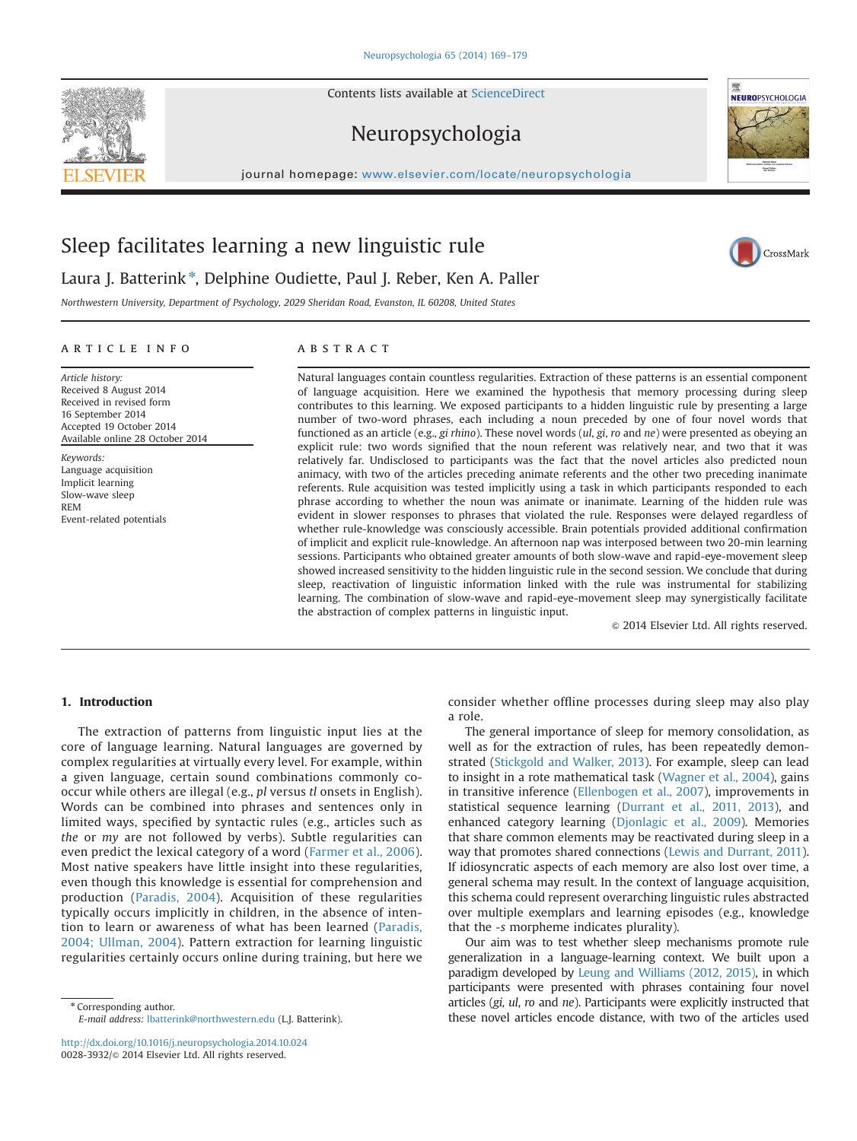Contents lists available at [ScienceDirect](www.sciencedirect.com/science/journal/00283932)

# Neuropsychologia

journal homepage: <www.elsevier.com/locate/neuropsychologia>ls.



Laura J. Batterink<sup>\*</sup>, Delphine Oudiette, Paul J. Reber, Ken A. Paller

Northwestern University, Department of Psychology, 2029 Sheridan Road, Evanston, IL 60208, United States

# article info

Article history: Received 8 August 2014 Received in revised form 16 September 2014 Accepted 19 October 2014 Available online 28 October 2014

Keywords: Language acquisition Implicit learning Slow-wave sleep REM Event-related potentials

# **ABSTRACT**

Natural languages contain countless regularities. Extraction of these patterns is an essential component of language acquisition. Here we examined the hypothesis that memory processing during sleep contributes to this learning. We exposed participants to a hidden linguistic rule by presenting a large number of two-word phrases, each including a noun preceded by one of four novel words that functioned as an article (e.g., gi rhino). These novel words  $(u, g, r)$  and ne) were presented as obeying an explicit rule: two words signified that the noun referent was relatively near, and two that it was relatively far. Undisclosed to participants was the fact that the novel articles also predicted noun animacy, with two of the articles preceding animate referents and the other two preceding inanimate referents. Rule acquisition was tested implicitly using a task in which participants responded to each phrase according to whether the noun was animate or inanimate. Learning of the hidden rule was evident in slower responses to phrases that violated the rule. Responses were delayed regardless of whether rule-knowledge was consciously accessible. Brain potentials provided additional confirmation of implicit and explicit rule-knowledge. An afternoon nap was interposed between two 20-min learning sessions. Participants who obtained greater amounts of both slow-wave and rapid-eye-movement sleep showed increased sensitivity to the hidden linguistic rule in the second session. We conclude that during sleep, reactivation of linguistic information linked with the rule was instrumental for stabilizing learning. The combination of slow-wave and rapid-eye-movement sleep may synergistically facilitate the abstraction of complex patterns in linguistic input.

 $\odot$  2014 Elsevier Ltd. All rights reserved.

# 1. Introduction

The extraction of patterns from linguistic input lies at the core of language learning. Natural languages are governed by complex regularities at virtually every level. For example, within a given language, certain sound combinations commonly cooccur while others are illegal (e.g., pl versus tl onsets in English). Words can be combined into phrases and sentences only in limited ways, specified by syntactic rules (e.g., articles such as the or my are not followed by verbs). Subtle regularities can even predict the lexical category of a word ([Farmer et al., 2006\)](#page-9-0). Most native speakers have little insight into these regularities, even though this knowledge is essential for comprehension and production [\(Paradis, 2004\)](#page-9-0). Acquisition of these regularities typically occurs implicitly in children, in the absence of intention to learn or awareness of what has been learned [\(Paradis,](#page-9-0) [2004; Ullman, 2004\)](#page-10-0). Pattern extraction for learning linguistic regularities certainly occurs online during training, but here we

\* Corresponding author. E-mail address: [lbatterink@northwestern.edu](mailto:lbatterink@northwestern.edu) (L.J. Batterink).

<http://dx.doi.org/10.1016/j.neuropsychologia.2014.10.024> 0028-3932/@ 2014 Elsevier Ltd. All rights reserved.

consider whether offline processes during sleep may also play a role.

The general importance of sleep for memory consolidation, as well as for the extraction of rules, has been repeatedly demonstrated ([Stickgold and Walker, 2013](#page-10-0)). For example, sleep can lead to insight in a rote mathematical task ([Wagner et al., 2004](#page-10-0)), gains in transitive inference ([Ellenbogen et al., 2007](#page-9-0)), improvements in statistical sequence learning [\(Durrant et al., 2011, 2013](#page-9-0)), and enhanced category learning ([Djonlagic et al., 2009\)](#page-9-0). Memories that share common elements may be reactivated during sleep in a way that promotes shared connections ([Lewis and Durrant, 2011\)](#page-9-0). If idiosyncratic aspects of each memory are also lost over time, a general schema may result. In the context of language acquisition, this schema could represent overarching linguistic rules abstracted over multiple exemplars and learning episodes (e.g., knowledge that the -s morpheme indicates plurality).

Our aim was to test whether sleep mechanisms promote rule generalization in a language-learning context. We built upon a paradigm developed by [Leung and Williams \(2012, 2015\)](#page-9-0), in which participants were presented with phrases containing four novel articles (gi, ul, ro and ne). Participants were explicitly instructed that these novel articles encode distance, with two of the articles used





CrossMark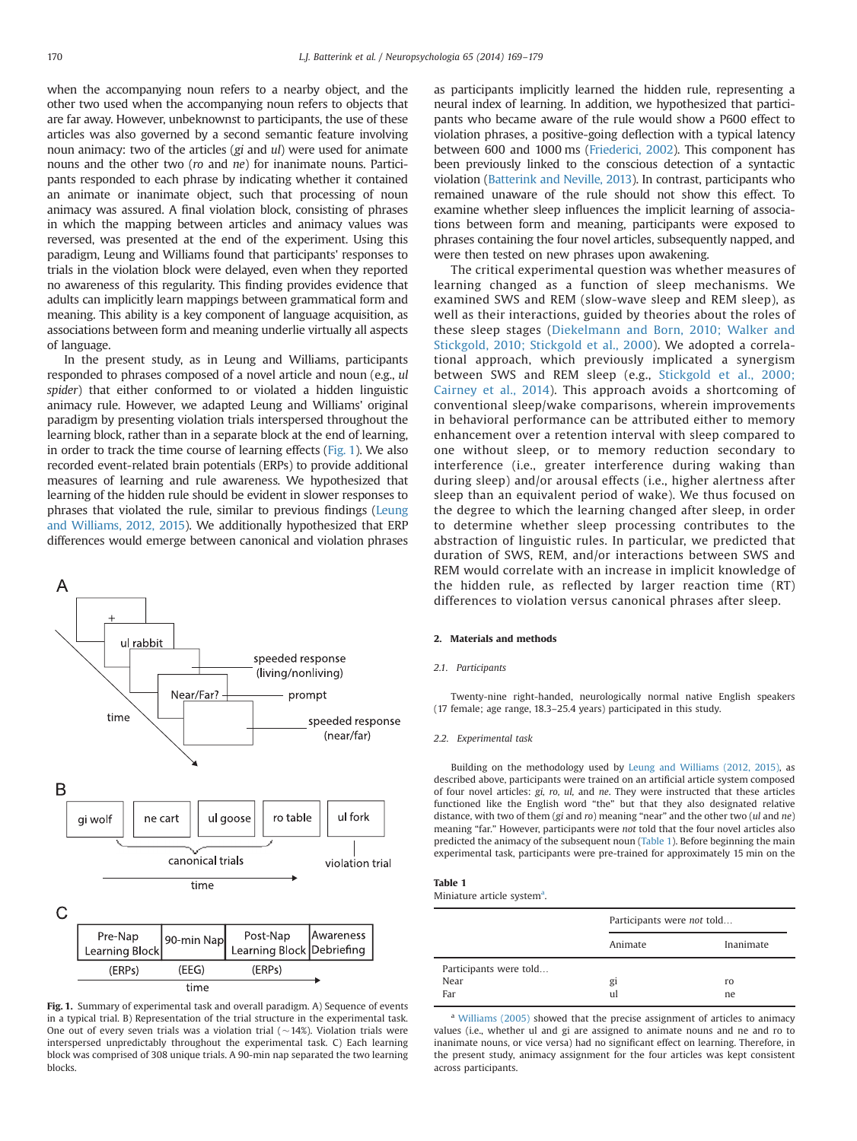<span id="page-1-0"></span>when the accompanying noun refers to a nearby object, and the other two used when the accompanying noun refers to objects that are far away. However, unbeknownst to participants, the use of these articles was also governed by a second semantic feature involving noun animacy: two of the articles (gi and ul) were used for animate nouns and the other two (ro and ne) for inanimate nouns. Participants responded to each phrase by indicating whether it contained an animate or inanimate object, such that processing of noun animacy was assured. A final violation block, consisting of phrases in which the mapping between articles and animacy values was reversed, was presented at the end of the experiment. Using this paradigm, Leung and Williams found that participants' responses to trials in the violation block were delayed, even when they reported no awareness of this regularity. This finding provides evidence that adults can implicitly learn mappings between grammatical form and meaning. This ability is a key component of language acquisition, as associations between form and meaning underlie virtually all aspects of language.

In the present study, as in Leung and Williams, participants responded to phrases composed of a novel article and noun (e.g., ul spider) that either conformed to or violated a hidden linguistic animacy rule. However, we adapted Leung and Williams' original paradigm by presenting violation trials interspersed throughout the learning block, rather than in a separate block at the end of learning, in order to track the time course of learning effects (Fig. 1). We also recorded event-related brain potentials (ERPs) to provide additional measures of learning and rule awareness. We hypothesized that learning of the hidden rule should be evident in slower responses to phrases that violated the rule, similar to previous findings [\(Leung](#page-9-0) [and Williams, 2012, 2015](#page-9-0)). We additionally hypothesized that ERP differences would emerge between canonical and violation phrases



Fig. 1. Summary of experimental task and overall paradigm. A) Sequence of events in a typical trial. B) Representation of the trial structure in the experimental task. One out of every seven trials was a violation trial  $(~14%)$ . Violation trials were interspersed unpredictably throughout the experimental task. C) Each learning block was comprised of 308 unique trials. A 90-min nap separated the two learning blocks.

as participants implicitly learned the hidden rule, representing a neural index of learning. In addition, we hypothesized that participants who became aware of the rule would show a P600 effect to violation phrases, a positive-going deflection with a typical latency between 600 and 1000 ms ([Friederici, 2002\)](#page-9-0). This component has been previously linked to the conscious detection of a syntactic violation [\(Batterink and Neville, 2013](#page-9-0)). In contrast, participants who remained unaware of the rule should not show this effect. To examine whether sleep influences the implicit learning of associations between form and meaning, participants were exposed to phrases containing the four novel articles, subsequently napped, and were then tested on new phrases upon awakening.

The critical experimental question was whether measures of learning changed as a function of sleep mechanisms. We examined SWS and REM (slow-wave sleep and REM sleep), as well as their interactions, guided by theories about the roles of these sleep stages ([Diekelmann and Born, 2010; Walker and](#page-10-0) [Stickgold, 2010; Stickgold et al., 2000\)](#page-10-0). We adopted a correlational approach, which previously implicated a synergism between SWS and REM sleep (e.g., [Stickgold et al., 2000;](#page-10-0) [Cairney et al., 2014](#page-9-0)). This approach avoids a shortcoming of conventional sleep/wake comparisons, wherein improvements in behavioral performance can be attributed either to memory enhancement over a retention interval with sleep compared to one without sleep, or to memory reduction secondary to interference (i.e., greater interference during waking than during sleep) and/or arousal effects (i.e., higher alertness after sleep than an equivalent period of wake). We thus focused on the degree to which the learning changed after sleep, in order to determine whether sleep processing contributes to the abstraction of linguistic rules. In particular, we predicted that duration of SWS, REM, and/or interactions between SWS and REM would correlate with an increase in implicit knowledge of the hidden rule, as reflected by larger reaction time (RT) differences to violation versus canonical phrases after sleep.

## 2. Materials and methods

## 2.1. Participants

Twenty-nine right-handed, neurologically normal native English speakers (17 female; age range, 18.3–25.4 years) participated in this study.

#### 2.2. Experimental task

Building on the methodology used by [Leung and Williams \(2012, 2015\),](#page-9-0) as described above, participants were trained on an artificial article system composed of four novel articles: gi, ro, ul, and ne. They were instructed that these articles functioned like the English word "the" but that they also designated relative distance, with two of them (gi and ro) meaning "near" and the other two (ul and ne) meaning "far." However, participants were not told that the four novel articles also predicted the animacy of the subsequent noun (Table 1). Before beginning the main experimental task, participants were pre-trained for approximately 15 min on the

## Table 1

Miniature article system<sup>a</sup>.

|                                       | Participants were not told |           |
|---------------------------------------|----------------------------|-----------|
|                                       | Animate                    | Inanimate |
| Participants were told<br>Near<br>Far | gi<br>ul                   | ro<br>ne  |

<sup>a</sup> [Williams \(2005\)](#page-10-0) showed that the precise assignment of articles to animacy values (i.e., whether ul and gi are assigned to animate nouns and ne and ro to inanimate nouns, or vice versa) had no significant effect on learning. Therefore, in the present study, animacy assignment for the four articles was kept consistent across participants.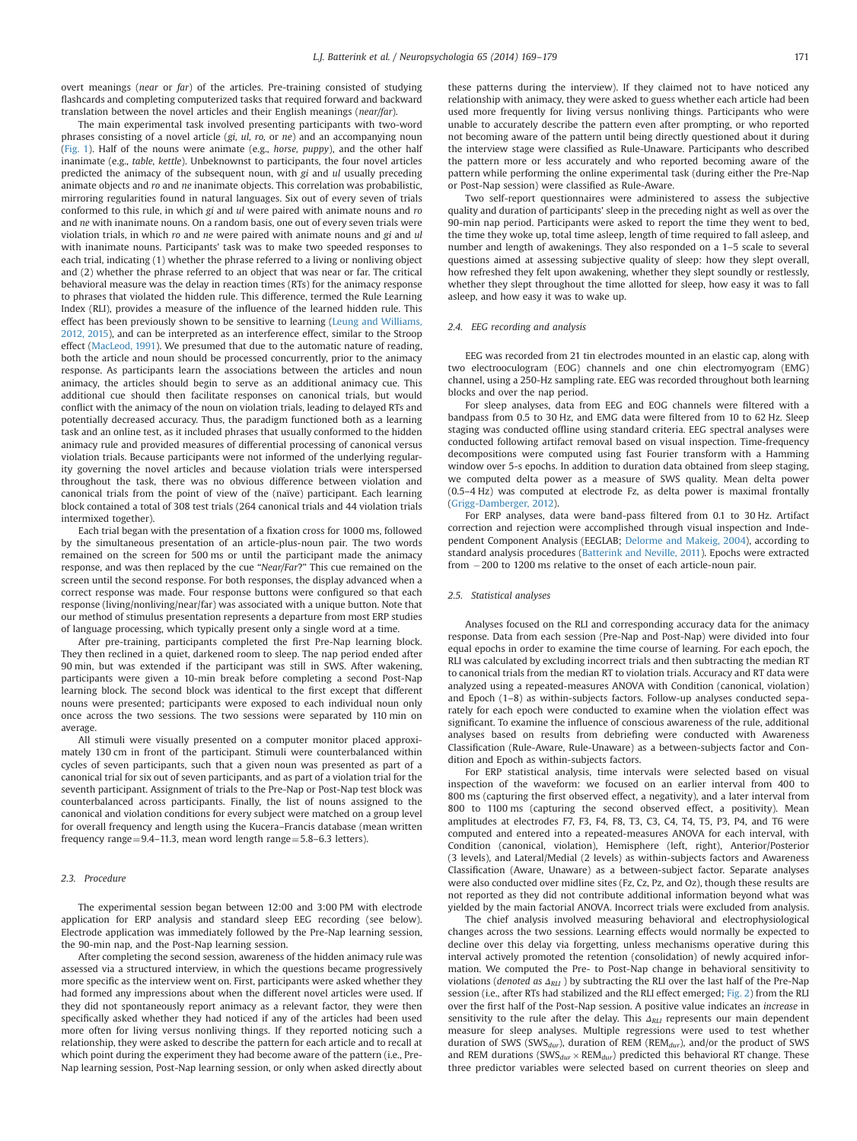overt meanings (near or far) of the articles. Pre-training consisted of studying flashcards and completing computerized tasks that required forward and backward translation between the novel articles and their English meanings (near/far).

The main experimental task involved presenting participants with two-word phrases consisting of a novel article (gi, ul, ro, or ne) and an accompanying noun ([Fig. 1\)](#page-1-0). Half of the nouns were animate (e.g., horse, puppy), and the other half inanimate (e.g., table, kettle). Unbeknownst to participants, the four novel articles predicted the animacy of the subsequent noun, with gi and ul usually preceding animate objects and ro and ne inanimate objects. This correlation was probabilistic, mirroring regularities found in natural languages. Six out of every seven of trials conformed to this rule, in which gi and ul were paired with animate nouns and ro and ne with inanimate nouns. On a random basis, one out of every seven trials were violation trials, in which ro and ne were paired with animate nouns and gi and ul with inanimate nouns. Participants' task was to make two speeded responses to each trial, indicating (1) whether the phrase referred to a living or nonliving object and (2) whether the phrase referred to an object that was near or far. The critical behavioral measure was the delay in reaction times (RTs) for the animacy response to phrases that violated the hidden rule. This difference, termed the Rule Learning Index (RLI), provides a measure of the influence of the learned hidden rule. This effect has been previously shown to be sensitive to learning [\(Leung and Williams,](#page-9-0) [2012, 2015](#page-9-0)), and can be interpreted as an interference effect, similar to the Stroop effect ([MacLeod, 1991](#page-9-0)). We presumed that due to the automatic nature of reading, both the article and noun should be processed concurrently, prior to the animacy response. As participants learn the associations between the articles and noun animacy, the articles should begin to serve as an additional animacy cue. This additional cue should then facilitate responses on canonical trials, but would conflict with the animacy of the noun on violation trials, leading to delayed RTs and potentially decreased accuracy. Thus, the paradigm functioned both as a learning task and an online test, as it included phrases that usually conformed to the hidden animacy rule and provided measures of differential processing of canonical versus violation trials. Because participants were not informed of the underlying regularity governing the novel articles and because violation trials were interspersed throughout the task, there was no obvious difference between violation and canonical trials from the point of view of the (naïve) participant. Each learning block contained a total of 308 test trials (264 canonical trials and 44 violation trials intermixed together).

Each trial began with the presentation of a fixation cross for 1000 ms, followed by the simultaneous presentation of an article-plus-noun pair. The two words remained on the screen for 500 ms or until the participant made the animacy response, and was then replaced by the cue "Near/Far?" This cue remained on the screen until the second response. For both responses, the display advanced when a correct response was made. Four response buttons were configured so that each response (living/nonliving/near/far) was associated with a unique button. Note that our method of stimulus presentation represents a departure from most ERP studies of language processing, which typically present only a single word at a time.

After pre-training, participants completed the first Pre-Nap learning block. They then reclined in a quiet, darkened room to sleep. The nap period ended after 90 min, but was extended if the participant was still in SWS. After wakening, participants were given a 10-min break before completing a second Post-Nap learning block. The second block was identical to the first except that different nouns were presented; participants were exposed to each individual noun only once across the two sessions. The two sessions were separated by 110 min on average.

All stimuli were visually presented on a computer monitor placed approximately 130 cm in front of the participant. Stimuli were counterbalanced within cycles of seven participants, such that a given noun was presented as part of a canonical trial for six out of seven participants, and as part of a violation trial for the seventh participant. Assignment of trials to the Pre-Nap or Post-Nap test block was counterbalanced across participants. Finally, the list of nouns assigned to the canonical and violation conditions for every subject were matched on a group level for overall frequency and length using the Kucera–Francis database (mean written frequency range =  $9.4-11.3$ , mean word length range =  $5.8-6.3$  letters).

#### 2.3. Procedure

The experimental session began between 12:00 and 3:00 PM with electrode application for ERP analysis and standard sleep EEG recording (see below). Electrode application was immediately followed by the Pre-Nap learning session, the 90-min nap, and the Post-Nap learning session.

After completing the second session, awareness of the hidden animacy rule was assessed via a structured interview, in which the questions became progressively more specific as the interview went on. First, participants were asked whether they had formed any impressions about when the different novel articles were used. If they did not spontaneously report animacy as a relevant factor, they were then specifically asked whether they had noticed if any of the articles had been used more often for living versus nonliving things. If they reported noticing such a relationship, they were asked to describe the pattern for each article and to recall at which point during the experiment they had become aware of the pattern (i.e., Pre-Nap learning session, Post-Nap learning session, or only when asked directly about these patterns during the interview). If they claimed not to have noticed any relationship with animacy, they were asked to guess whether each article had been used more frequently for living versus nonliving things. Participants who were unable to accurately describe the pattern even after prompting, or who reported not becoming aware of the pattern until being directly questioned about it during the interview stage were classified as Rule-Unaware. Participants who described the pattern more or less accurately and who reported becoming aware of the pattern while performing the online experimental task (during either the Pre-Nap or Post-Nap session) were classified as Rule-Aware.

Two self-report questionnaires were administered to assess the subjective quality and duration of participants' sleep in the preceding night as well as over the 90-min nap period. Participants were asked to report the time they went to bed, the time they woke up, total time asleep, length of time required to fall asleep, and number and length of awakenings. They also responded on a 1–5 scale to several questions aimed at assessing subjective quality of sleep: how they slept overall, how refreshed they felt upon awakening, whether they slept soundly or restlessly, whether they slept throughout the time allotted for sleep, how easy it was to fall asleep, and how easy it was to wake up.

#### 2.4. EEG recording and analysis

EEG was recorded from 21 tin electrodes mounted in an elastic cap, along with two electrooculogram (EOG) channels and one chin electromyogram (EMG) channel, using a 250-Hz sampling rate. EEG was recorded throughout both learning blocks and over the nap period.

For sleep analyses, data from EEG and EOG channels were filtered with a bandpass from 0.5 to 30 Hz, and EMG data were filtered from 10 to 62 Hz. Sleep staging was conducted offline using standard criteria. EEG spectral analyses were conducted following artifact removal based on visual inspection. Time-frequency decompositions were computed using fast Fourier transform with a Hamming window over 5-s epochs. In addition to duration data obtained from sleep staging, we computed delta power as a measure of SWS quality. Mean delta power (0.5–4 Hz) was computed at electrode Fz, as delta power is maximal frontally ([Grigg-Damberger, 2012\)](#page-9-0).

For ERP analyses, data were band-pass filtered from 0.1 to 30 Hz. Artifact correction and rejection were accomplished through visual inspection and Independent Component Analysis (EEGLAB; [Delorme and Makeig, 2004](#page-9-0)), according to standard analysis procedures ([Batterink and Neville, 2011](#page-9-0)). Epochs were extracted from 200 to 1200 ms relative to the onset of each article-noun pair.

#### 2.5. Statistical analyses

Analyses focused on the RLI and corresponding accuracy data for the animacy response. Data from each session (Pre-Nap and Post-Nap) were divided into four equal epochs in order to examine the time course of learning. For each epoch, the RLI was calculated by excluding incorrect trials and then subtracting the median RT to canonical trials from the median RT to violation trials. Accuracy and RT data were analyzed using a repeated-measures ANOVA with Condition (canonical, violation) and Epoch (1–8) as within-subjects factors. Follow-up analyses conducted separately for each epoch were conducted to examine when the violation effect was significant. To examine the influence of conscious awareness of the rule, additional analyses based on results from debriefing were conducted with Awareness Classification (Rule-Aware, Rule-Unaware) as a between-subjects factor and Condition and Epoch as within-subjects factors.

For ERP statistical analysis, time intervals were selected based on visual inspection of the waveform: we focused on an earlier interval from 400 to 800 ms (capturing the first observed effect, a negativity), and a later interval from 800 to 1100 ms (capturing the second observed effect, a positivity). Mean amplitudes at electrodes F7, F3, F4, F8, T3, C3, C4, T4, T5, P3, P4, and T6 were computed and entered into a repeated-measures ANOVA for each interval, with Condition (canonical, violation), Hemisphere (left, right), Anterior/Posterior (3 levels), and Lateral/Medial (2 levels) as within-subjects factors and Awareness Classification (Aware, Unaware) as a between-subject factor. Separate analyses were also conducted over midline sites (Fz, Cz, Pz, and Oz), though these results are not reported as they did not contribute additional information beyond what was yielded by the main factorial ANOVA. Incorrect trials were excluded from analysis.

The chief analysis involved measuring behavioral and electrophysiological changes across the two sessions. Learning effects would normally be expected to decline over this delay via forgetting, unless mechanisms operative during this interval actively promoted the retention (consolidation) of newly acquired information. We computed the Pre- to Post-Nap change in behavioral sensitivity to violations (denoted as  $\Delta_{RLI}$ ) by subtracting the RLI over the last half of the Pre-Nap session (i.e., after RTs had stabilized and the RLI effect emerged; [Fig. 2](#page-3-0)) from the RLI over the first half of the Post-Nap session. A positive value indicates an increase in sensitivity to the rule after the delay. This  $\Delta_{\text{RLI}}$  represents our main dependent measure for sleep analyses. Multiple regressions were used to test whether duration of SWS (SWS $_{dur}$ ), duration of REM (REM $_{dur}$ ), and/or the product of SWS and REM durations ( $SWS_{dur} \times REM_{dur}$ ) predicted this behavioral RT change. These three predictor variables were selected based on current theories on sleep and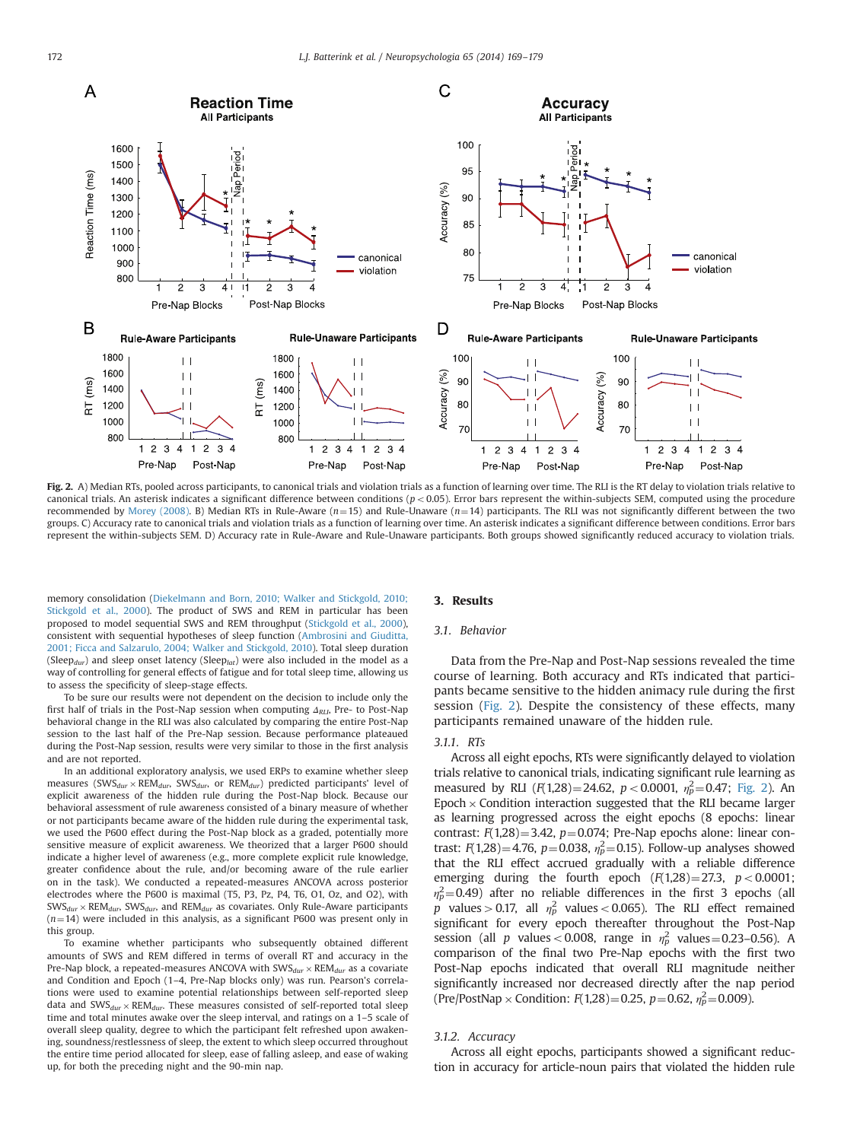<span id="page-3-0"></span>

Fig. 2. A) Median RTs, pooled across participants, to canonical trials and violation trials as a function of learning over time. The RLI is the RT delay to violation trials relative to canonical trials. An asterisk indicates a significant difference between conditions ( $p < 0.05$ ). Error bars represent the within-subjects SEM, computed using the procedure recommended by [Morey \(2008\)](#page-9-0). B) Median RTs in Rule-Aware ( $n=15$ ) and Rule-Unaware ( $n=14$ ) participants. The RLI was not significantly different between the two groups. C) Accuracy rate to canonical trials and violation trials as a function of learning over time. An asterisk indicates a significant difference between conditions. Error bars represent the within-subjects SEM. D) Accuracy rate in Rule-Aware and Rule-Unaware participants. Both groups showed significantly reduced accuracy to violation trials.

memory consolidation [\(Diekelmann and Born, 2010; Walker and Stickgold, 2010;](#page-10-0) [Stickgold et al., 2000\)](#page-10-0). The product of SWS and REM in particular has been proposed to model sequential SWS and REM throughput ([Stickgold et al., 2000\)](#page-10-0), consistent with sequential hypotheses of sleep function ([Ambrosini and Giuditta,](#page-9-0) [2001; Ficca and Salzarulo, 2004; Walker and Stickgold, 2010](#page-10-0)). Total sleep duration (Sleep<sub>dur</sub>) and sleep onset latency (Sleep<sub>lat</sub>) were also included in the model as a way of controlling for general effects of fatigue and for total sleep time, allowing us to assess the specificity of sleep-stage effects.

To be sure our results were not dependent on the decision to include only the first half of trials in the Post-Nap session when computing  $\Delta_{RLI}$ , Pre- to Post-Nap behavioral change in the RLI was also calculated by comparing the entire Post-Nap session to the last half of the Pre-Nap session. Because performance plateaued during the Post-Nap session, results were very similar to those in the first analysis and are not reported.

In an additional exploratory analysis, we used ERPs to examine whether sleep measures (SWS<sub>dur</sub> × REM<sub>dur</sub>, SWS<sub>dur</sub>, or REM<sub>dur</sub>) predicted participants' level of explicit awareness of the hidden rule during the Post-Nap block. Because our behavioral assessment of rule awareness consisted of a binary measure of whether or not participants became aware of the hidden rule during the experimental task, we used the P600 effect during the Post-Nap block as a graded, potentially more sensitive measure of explicit awareness. We theorized that a larger P600 should indicate a higher level of awareness (e.g., more complete explicit rule knowledge, greater confidence about the rule, and/or becoming aware of the rule earlier on in the task). We conducted a repeated-measures ANCOVA across posterior electrodes where the P600 is maximal (T5, P3, Pz, P4, T6, O1, Oz, and O2), with  $\text{SWS}_{dur}$   $\times$  REM<sub>dur</sub>, SWS<sub>dur</sub>, and REM<sub>dur</sub> as covariates. Only Rule-Aware participants  $(n=14)$  were included in this analysis, as a significant P600 was present only in this group.

To examine whether participants who subsequently obtained different amounts of SWS and REM differed in terms of overall RT and accuracy in the Pre-Nap block, a repeated-measures ANCOVA with  $\text{SWS}_{dur} \times \text{REM}_{dur}$  as a covariate and Condition and Epoch (1–4, Pre-Nap blocks only) was run. Pearson's correlations were used to examine potential relationships between self-reported sleep data and  $SWS_{dur} \times REM_{dur}$ . These measures consisted of self-reported total sleep time and total minutes awake over the sleep interval, and ratings on a 1–5 scale of overall sleep quality, degree to which the participant felt refreshed upon awakening, soundness/restlessness of sleep, the extent to which sleep occurred throughout the entire time period allocated for sleep, ease of falling asleep, and ease of waking up, for both the preceding night and the 90-min nap.

# 3. Results

# 3.1. Behavior

Data from the Pre-Nap and Post-Nap sessions revealed the time course of learning. Both accuracy and RTs indicated that participants became sensitive to the hidden animacy rule during the first session (Fig. 2). Despite the consistency of these effects, many participants remained unaware of the hidden rule.

# 3.1.1. RTs

Across all eight epochs, RTs were significantly delayed to violation trials relative to canonical trials, indicating significant rule learning as measured by RLI  $(F(1,28) = 24.62, p < 0.0001, \eta_p^2 = 0.47;$  Fig. 2). An Epoch  $\times$  Condition interaction suggested that the RLI became larger as learning progressed across the eight epochs (8 epochs: linear contrast:  $F(1,28) = 3.42$ ,  $p = 0.074$ ; Pre-Nap epochs alone: linear contrast:  $F(1,28) = 4.76$ ,  $p = 0.038$ ,  $\eta_p^2 = 0.15$ ). Follow-up analyses showed that the RLI effect accrued gradually with a reliable difference emerging during the fourth epoch  $(F(1,28)=27.3, p<0.0001;$  $\eta_p^2$ =0.49) after no reliable differences in the first 3 epochs (all p values > 0.17, all  $\eta_p^2$  values < 0.065). The RLI effect remained significant for every epoch thereafter throughout the Post-Nap session (all *p* values < 0.008, range in  $\eta_p^2$  values = 0.23-0.56). A comparison of the final two Pre-Nap epochs with the first two Post-Nap epochs indicated that overall RLI magnitude neither significantly increased nor decreased directly after the nap period (Pre/PostNap  $\times$  Condition:  $F(1,28)=0.25$ ,  $p=0.62$ ,  $\eta_p^2=0.009$ ).

#### 3.1.2. Accuracy

Across all eight epochs, participants showed a significant reduction in accuracy for article-noun pairs that violated the hidden rule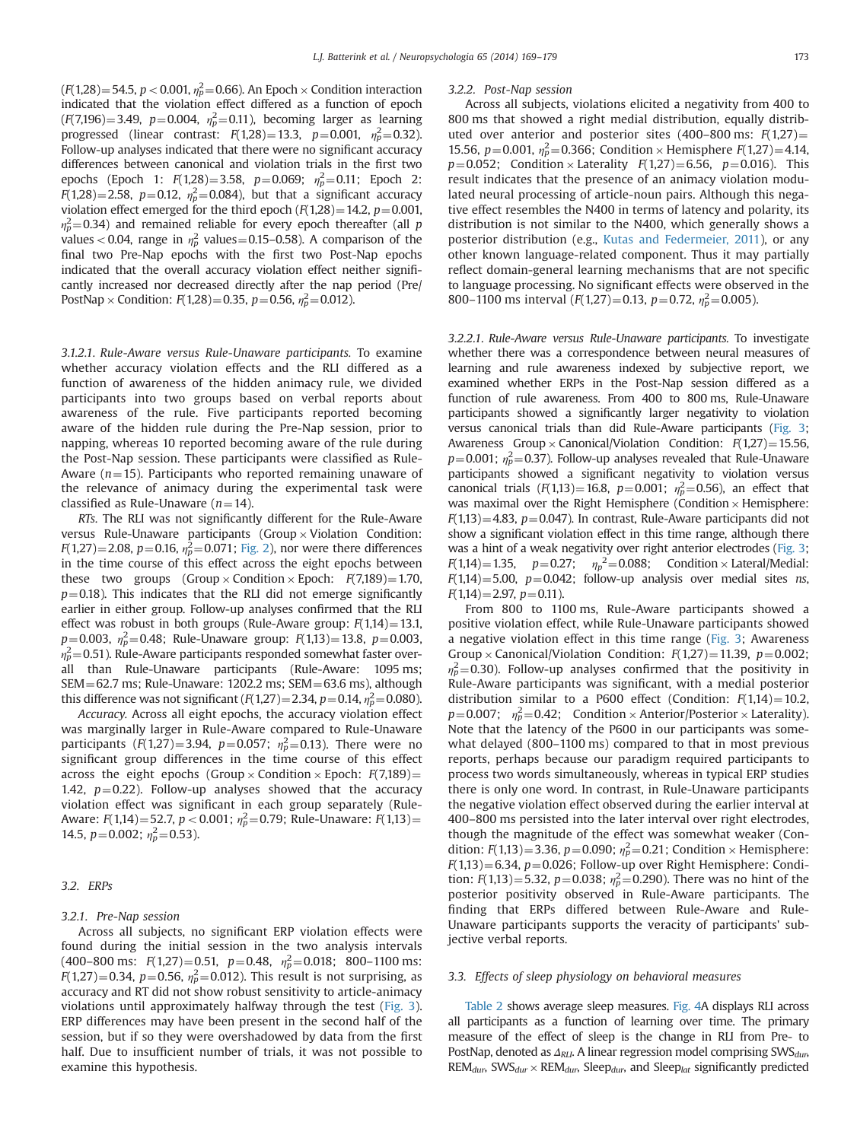$(F(1,28) = 54.5, p < 0.001, \eta_P^2 = 0.66)$ . An Epoch  $\times$  Condition interaction indicated that the violation effect differed as a function of epoch  $(F(7,196)=3.49, p=0.004, \eta_p^2=0.11)$ , becoming larger as learning progressed (linear contrast:  $F(1,28) = 13.3$ ,  $p = 0.001$ ,  $n_p^2 = 0.32$ ). Follow-up analyses indicated that there were no significant accuracy differences between canonical and violation trials in the first two epochs (Epoch 1:  $F(1,28) = 3.58$ ,  $p=0.069$ ;  $n_p^2 = 0.11$ ; Epoch 2:  $F(1,28) = 2.58$ ,  $p=0.12$ ,  $\eta_p^2 = 0.084$ ), but that a significant accuracy violation effect emerged for the third epoch  $(F(1,28) = 14.2, p = 0.001,$  $\eta_p^2$ =0.34) and remained reliable for every epoch thereafter (all p values < 0.04, range in  $\eta_p^2$  values = 0.15–0.58). A comparison of the final two Pre-Nap epochs with the first two Post-Nap epochs indicated that the overall accuracy violation effect neither significantly increased nor decreased directly after the nap period (Pre/ PostNap  $\times$  Condition:  $F(1,28)=0.35$ ,  $p=0.56$ ,  $\eta_p^2=0.012$ ).

3.1.2.1. Rule-Aware versus Rule-Unaware participants. To examine whether accuracy violation effects and the RLI differed as a function of awareness of the hidden animacy rule, we divided participants into two groups based on verbal reports about awareness of the rule. Five participants reported becoming aware of the hidden rule during the Pre-Nap session, prior to napping, whereas 10 reported becoming aware of the rule during the Post-Nap session. These participants were classified as Rule-Aware ( $n=15$ ). Participants who reported remaining unaware of the relevance of animacy during the experimental task were classified as Rule-Unaware ( $n=14$ ).

RTs. The RLI was not significantly different for the Rule-Aware versus Rule-Unaware participants (Group  $\times$  Violation Condition:  $F(1,27) = 2.08$ ,  $p = 0.16$ ,  $\eta_p^2 = 0.071$ ; [Fig. 2](#page-3-0)), nor were there differences in the time course of this effect across the eight epochs between these two groups (Group  $\times$  Condition  $\times$  Epoch:  $F(7,189) = 1.70$ ,  $p=0.18$ ). This indicates that the RLI did not emerge significantly earlier in either group. Follow-up analyses confirmed that the RLI effect was robust in both groups (Rule-Aware group:  $F(1,14) = 13.1$ ,  $p=0.003$ ,  $\eta_p^2=0.48$ ; Rule-Unaware group:  $F(1,13)=13.8$ ,  $p=0.003$ ,  $\eta_p^2$ =0.51). Rule-Aware participants responded somewhat faster overall than Rule-Unaware participants (Rule-Aware: 1095 ms;  $SEM = 62.7$  ms; Rule-Unaware: 1202.2 ms;  $SEM = 63.6$  ms), although this difference was not significant  $(F(1,27)=2.34, p=0.14, \eta_p^2=0.080)$ .

Accuracy. Across all eight epochs, the accuracy violation effect was marginally larger in Rule-Aware compared to Rule-Unaware participants ( $F(1,27) = 3.94$ ,  $p=0.057$ ;  $n_p^2 = 0.13$ ). There were no significant group differences in the time course of this effect across the eight epochs (Group  $\times$  Condition  $\times$  Epoch:  $F(7,189)$  = 1.42,  $p=0.22$ ). Follow-up analyses showed that the accuracy violation effect was significant in each group separately (Rule-Aware:  $F(1,14)=52.7$ ,  $p < 0.001$ ;  $\eta_p^2=0.79$ ; Rule-Unaware:  $F(1,13)=$ 14.5,  $p=0.002$ ;  $\eta_p^2=0.53$ ).

## 3.2. ERPs

## 3.2.1. Pre-Nap session

Across all subjects, no significant ERP violation effects were found during the initial session in the two analysis intervals (400–800 ms:  $F(1,27) = 0.51$ ,  $p=0.48$ ,  $n_p^2 = 0.018$ ; 800–1100 ms:  $F(1,27)=0.34$ ,  $p=0.56$ ,  $\eta_p^2=0.012$ ). This result is not surprising, as accuracy and RT did not show robust sensitivity to article-animacy violations until approximately halfway through the test [\(Fig. 3\)](#page-5-0). ERP differences may have been present in the second half of the session, but if so they were overshadowed by data from the first half. Due to insufficient number of trials, it was not possible to examine this hypothesis.

## 3.2.2. Post-Nap session

Across all subjects, violations elicited a negativity from 400 to 800 ms that showed a right medial distribution, equally distributed over anterior and posterior sites (400–800 ms:  $F(1,27)$  = 15.56, p=0.001,  $\eta_p^2$ =0.366; Condition × Hemisphere  $F(1,27)$ =4.14,  $p=0.052$ ; Condition × Laterality  $F(1,27)=6.56$ ,  $p=0.016$ ). This result indicates that the presence of an animacy violation modulated neural processing of article-noun pairs. Although this negative effect resembles the N400 in terms of latency and polarity, its distribution is not similar to the N400, which generally shows a posterior distribution (e.g., [Kutas and Federmeier, 2011](#page-9-0)), or any other known language-related component. Thus it may partially reflect domain-general learning mechanisms that are not specific to language processing. No significant effects were observed in the 800–1100 ms interval  $(F(1,27)=0.13, p=0.72, \eta_p^2=0.005)$ .

3.2.2.1. Rule-Aware versus Rule-Unaware participants. To investigate whether there was a correspondence between neural measures of learning and rule awareness indexed by subjective report, we examined whether ERPs in the Post-Nap session differed as a function of rule awareness. From 400 to 800 ms, Rule-Unaware participants showed a significantly larger negativity to violation versus canonical trials than did Rule-Aware participants [\(Fig. 3;](#page-5-0) Awareness Group  $\times$  Canonical/Violation Condition:  $F(1,27) = 15.56$ ,  $p=0.001$ ;  $\eta_p^2=0.37$ ). Follow-up analyses revealed that Rule-Unaware participants showed a significant negativity to violation versus canonical trials  $(F(1,13) = 16.8, p = 0.001; \eta_p^2 = 0.56)$ , an effect that was maximal over the Right Hemisphere (Condition  $\times$  Hemisphere:  $F(1,13)=4.83$ ,  $p=0.047$ ). In contrast, Rule-Aware participants did not show a significant violation effect in this time range, although there was a hint of a weak negativity over right anterior electrodes [\(Fig. 3;](#page-5-0)  $F(1,14)=1.35$ ,  $p=0.27$ ;  $\eta_p^2=0.088$ ; Condition × Lateral/Medial:  $F(1,14)=5.00$ ,  $p=0.042$ ; follow-up analysis over medial sites ns,  $F(1,14) = 2.97$ ,  $p = 0.11$ ).

From 800 to 1100 ms, Rule-Aware participants showed a positive violation effect, while Rule-Unaware participants showed a negative violation effect in this time range [\(Fig. 3;](#page-5-0) Awareness Group  $\times$  Canonical/Violation Condition:  $F(1,27) = 11.39$ ,  $p = 0.002$ ;  $\eta_p^2$ =0.30). Follow-up analyses confirmed that the positivity in Rule-Aware participants was significant, with a medial posterior distribution similar to a P600 effect (Condition:  $F(1,14) = 10.2$ ,  $p=0.007; \eta_p^2=0.42;$  Condition  $\times$  Anterior/Posterior  $\times$  Laterality). Note that the latency of the P600 in our participants was somewhat delayed (800–1100 ms) compared to that in most previous reports, perhaps because our paradigm required participants to process two words simultaneously, whereas in typical ERP studies there is only one word. In contrast, in Rule-Unaware participants the negative violation effect observed during the earlier interval at 400–800 ms persisted into the later interval over right electrodes, though the magnitude of the effect was somewhat weaker (Condition:  $F(1,13) = 3.36$ ,  $p = 0.090$ ;  $\eta_p^2 = 0.21$ ; Condition  $\times$  Hemisphere:  $F(1,13)=6.34$ ,  $p=0.026$ ; Follow-up over Right Hemisphere: Condition:  $F(1,13)=5.32$ ,  $p=0.038$ ;  $\eta_p^2=0.290$ ). There was no hint of the posterior positivity observed in Rule-Aware participants. The finding that ERPs differed between Rule-Aware and Rule-Unaware participants supports the veracity of participants' subjective verbal reports.

## 3.3. Effects of sleep physiology on behavioral measures

[Table 2](#page-5-0) shows average sleep measures. [Fig. 4](#page-6-0)A displays RLI across all participants as a function of learning over time. The primary measure of the effect of sleep is the change in RLI from Pre- to PostNap, denoted as  $\Delta_{RLI}$ . A linear regression model comprising SWS $_{dur}$  $REM_{dur}$ , SWS<sub>dur</sub> × REM<sub>dur</sub>, Sleep<sub>dur</sub>, and Sleep<sub>lat</sub> significantly predicted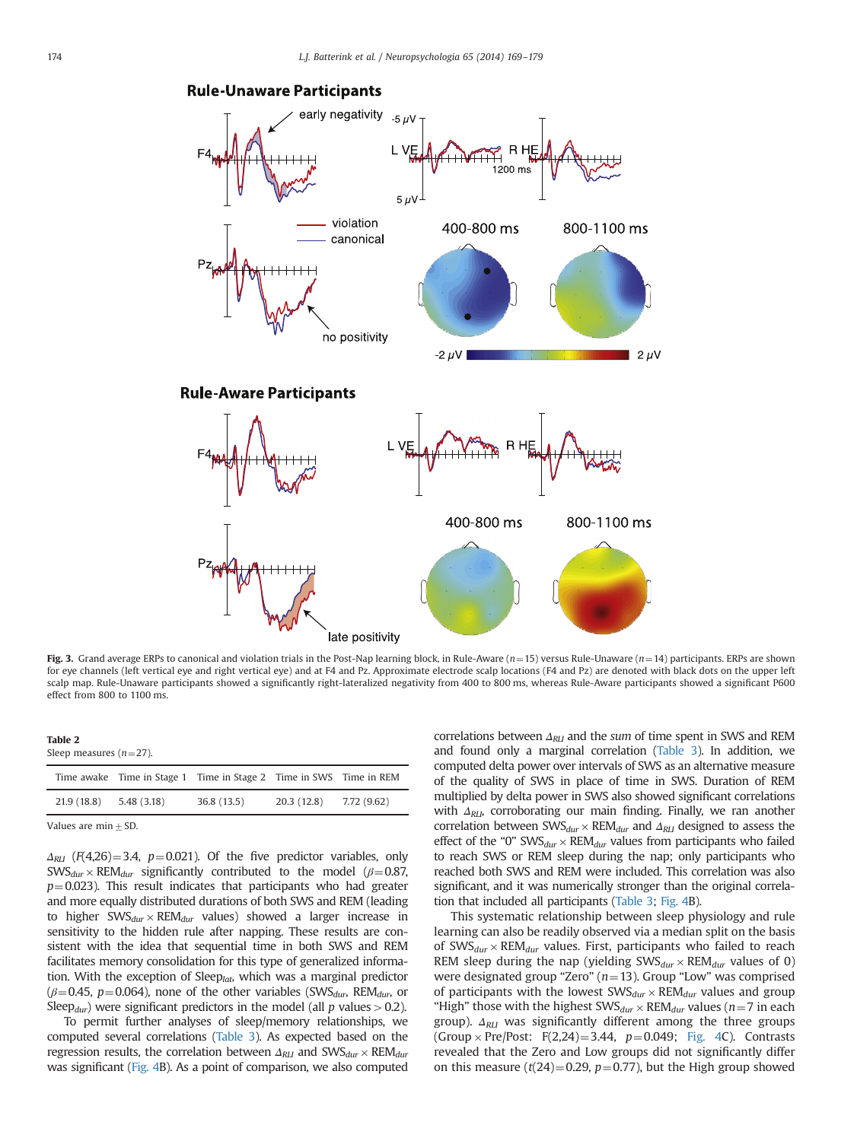

# <span id="page-5-0"></span>**Rule-Unaware Participants**

Fig. 3. Grand average ERPs to canonical and violation trials in the Post-Nap learning block, in Rule-Aware (n=15) versus Rule-Unaware (n=14) participants. ERPs are shown for eye channels (left vertical eye and right vertical eye) and at F4 and Pz. Approximate electrode scalp locations (F4 and Pz) are denoted with black dots on the upper left scalp map. Rule-Unaware participants showed a significantly right-lateralized negativity from 400 to 800 ms, whereas Rule-Aware participants showed a significant P600 effect from 800 to 1100 ms.

|--|--|

Sleep measures  $(n=27)$ .

|             |             | Time awake Time in Stage 1 Time in Stage 2 Time in SWS Time in REM |            |             |
|-------------|-------------|--------------------------------------------------------------------|------------|-------------|
| 21.9 (18.8) | 5.48 (3.18) | 36.8(13.5)                                                         | 20.3(12.8) | 7.72 (9.62) |
|             |             |                                                                    |            |             |

Values are  $min + SD$ .

 $\Delta_{RII}$  (F(4,26) = 3.4, p = 0.021). Of the five predictor variables, only  $\text{SWS}_{dur} \times \text{REM}_{dur}$  significantly contributed to the model ( $\beta = 0.87$ ,  $p=0.023$ ). This result indicates that participants who had greater and more equally distributed durations of both SWS and REM (leading to higher  $SWS_{dur} \times REM_{dur}$  values) showed a larger increase in sensitivity to the hidden rule after napping. These results are consistent with the idea that sequential time in both SWS and REM facilitates memory consolidation for this type of generalized information. With the exception of Sleep<sub>lat</sub>, which was a marginal predictor  $(\beta=0.45, p=0.064)$ , none of the other variables (SWS<sub>dur</sub>, REM<sub>dur</sub>, or Sleep<sub>dur</sub>) were significant predictors in the model (all p values  $>0.2$ ).

To permit further analyses of sleep/memory relationships, we computed several correlations [\(Table 3](#page-6-0)). As expected based on the regression results, the correlation between  $\Delta_{RLI}$  and  $\text{SWS}_{dur} \times \text{REM}_{dur}$ was significant ([Fig. 4B](#page-6-0)). As a point of comparison, we also computed correlations between  $\Delta_{\text{RLI}}$  and the sum of time spent in SWS and REM and found only a marginal correlation [\(Table 3\)](#page-6-0). In addition, we computed delta power over intervals of SWS as an alternative measure of the quality of SWS in place of time in SWS. Duration of REM multiplied by delta power in SWS also showed significant correlations with  $\Delta_{RLI}$ , corroborating our main finding. Finally, we ran another correlation between  $\text{SWS}_{dur} \times \text{REM}_{dur}$  and  $\Delta_{\text{RLI}}$  designed to assess the effect of the "0"  $SWS_{dur} \times REM_{dur}$  values from participants who failed to reach SWS or REM sleep during the nap; only participants who reached both SWS and REM were included. This correlation was also significant, and it was numerically stronger than the original correlation that included all participants [\(Table 3;](#page-6-0) [Fig. 4B](#page-6-0)).

This systematic relationship between sleep physiology and rule learning can also be readily observed via a median split on the basis of SWS $_{dur}$  × REM $_{dur}$  values. First, participants who failed to reach REM sleep during the nap (yielding  $\text{SWS}_{dur} \times \text{REM}_{dur}$  values of 0) were designated group "Zero" ( $n=13$ ). Group "Low" was comprised of participants with the lowest  $\text{SWS}_{dur} \times \text{REM}_{dur}$  values and group "High" those with the highest SWS<sub>dur</sub>  $\times$  REM<sub>dur</sub> values (n = 7 in each group).  $\Delta_{\text{RLI}}$  was significantly different among the three groups (Group  $\times$  Pre/Post: F(2,24)=3.44, p=0.049; [Fig. 4C](#page-6-0)). Contrasts revealed that the Zero and Low groups did not significantly differ on this measure ( $t(24)=0.29$ ,  $p=0.77$ ), but the High group showed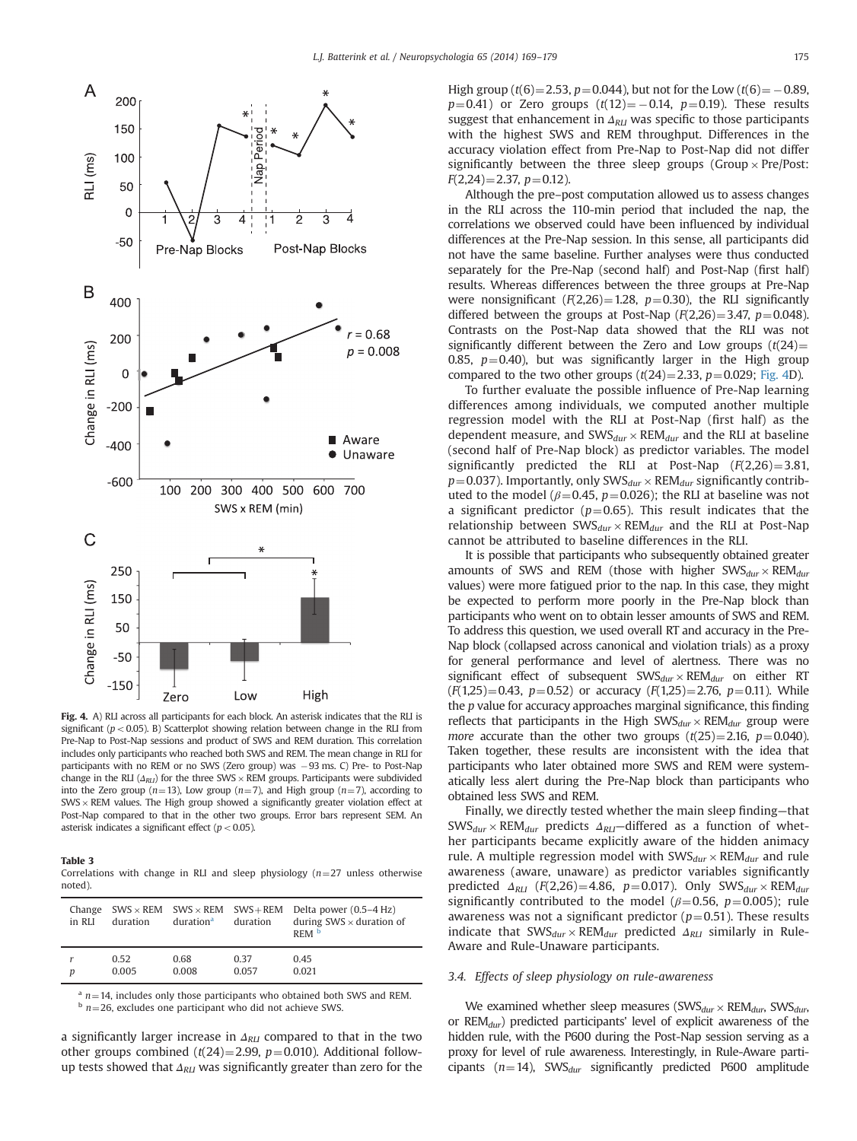<span id="page-6-0"></span>

Fig. 4. A) RLI across all participants for each block. An asterisk indicates that the RLI is significant ( $p < 0.05$ ). B) Scatterplot showing relation between change in the RLI from Pre-Nap to Post-Nap sessions and product of SWS and REM duration. This correlation includes only participants who reached both SWS and REM. The mean change in RLI for participants with no REM or no SWS (Zero group) was  $-93$  ms. C) Pre- to Post-Nap change in the RLI ( $\Delta_{RLI}$ ) for the three SWS  $\times$  REM groups. Participants were subdivided into the Zero group ( $n=13$ ), Low group ( $n=7$ ), and High group ( $n=7$ ), according to  $SWS \times REM$  values. The High group showed a significantly greater violation effect at Post-Nap compared to that in the other two groups. Error bars represent SEM. An asterisk indicates a significant effect ( $p < 0.05$ ).

#### Table 3

Correlations with change in RLI and sleep physiology  $(n=27)$  unless otherwise noted).

| Change<br>in RLI | duration | $SWS \times REM$ SWS $\times$ REM SWS + REM<br>duration <sup>a</sup> | duration | Delta power $(0.5-4 Hz)$<br>during $SWS \times$ duration of<br>REM <sup>b</sup> |
|------------------|----------|----------------------------------------------------------------------|----------|---------------------------------------------------------------------------------|
| D                | 0.52     | 0.68                                                                 | 0.37     | 0.45                                                                            |
|                  | 0.005    | 0.008                                                                | 0.057    | 0.021                                                                           |

<sup>a</sup> n=14, includes only those participants who obtained both SWS and REM.  $\frac{b}{n}$  n=26, excludes one participant who did not achieve SWS.

a significantly larger increase in  $\Delta_{\text{RLI}}$  compared to that in the two other groups combined (t(24)=2.99, p=0.010). Additional followup tests showed that  $\Delta_{\text{RLI}}$  was significantly greater than zero for the High group (t(6)=2.53, p=0.044), but not for the Low (t(6) =  $-0.89$ ,  $p=0.41$ ) or Zero groups  $(t(12)=-0.14, p=0.19)$ . These results suggest that enhancement in  $\Delta_{\text{RLI}}$  was specific to those participants with the highest SWS and REM throughput. Differences in the accuracy violation effect from Pre-Nap to Post-Nap did not differ significantly between the three sleep groups (Group  $\times$  Pre/Post:  $F(2,24) = 2.37$ ,  $p = 0.12$ ).

Although the pre–post computation allowed us to assess changes in the RLI across the 110-min period that included the nap, the correlations we observed could have been influenced by individual differences at the Pre-Nap session. In this sense, all participants did not have the same baseline. Further analyses were thus conducted separately for the Pre-Nap (second half) and Post-Nap (first half) results. Whereas differences between the three groups at Pre-Nap were nonsignificant  $(F(2,26)=1.28, p=0.30)$ , the RLI significantly differed between the groups at Post-Nap  $(F(2,26)=3.47, p=0.048)$ . Contrasts on the Post-Nap data showed that the RLI was not significantly different between the Zero and Low groups  $(t(24)$ = 0.85,  $p=0.40$ ), but was significantly larger in the High group compared to the two other groups  $(t(24)=2.33, p=0.029;$  Fig. 4D).

To further evaluate the possible influence of Pre-Nap learning differences among individuals, we computed another multiple regression model with the RLI at Post-Nap (first half) as the dependent measure, and  $\text{SWS}_{dur} \times \text{REM}_{dur}$  and the RLI at baseline (second half of Pre-Nap block) as predictor variables. The model significantly predicted the RLI at Post-Nap  $(F(2,26)=3.81,$  $p=0.037$ ). Importantly, only SWS<sub>dur</sub>  $\times$  REM<sub>dur</sub> significantly contributed to the model ( $\beta$ =0.45, p=0.026); the RLI at baseline was not a significant predictor ( $p=0.65$ ). This result indicates that the relationship between  $\text{SWS}_{dur} \times \text{REM}_{dur}$  and the RLI at Post-Nap cannot be attributed to baseline differences in the RLI.

It is possible that participants who subsequently obtained greater amounts of SWS and REM (those with higher  $SWS_{dur} \times REM_{dur}$ ) values) were more fatigued prior to the nap. In this case, they might be expected to perform more poorly in the Pre-Nap block than participants who went on to obtain lesser amounts of SWS and REM. To address this question, we used overall RT and accuracy in the Pre-Nap block (collapsed across canonical and violation trials) as a proxy for general performance and level of alertness. There was no significant effect of subsequent  $\text{SWS}_{dur} \times \text{REM}_{dur}$  on either RT  $(F(1,25)=0.43, p=0.52)$  or accuracy  $(F(1,25)=2.76, p=0.11)$ . While the p value for accuracy approaches marginal significance, this finding reflects that participants in the High  $\text{SWS}_{dur} \times \text{REM}_{dur}$  group were more accurate than the other two groups  $(t(25)=2.16, p=0.040)$ . Taken together, these results are inconsistent with the idea that participants who later obtained more SWS and REM were systematically less alert during the Pre-Nap block than participants who obtained less SWS and REM.

Finally, we directly tested whether the main sleep finding—that  $\text{SWS}_{dur}$   $\times$  REM<sub>dur</sub> predicts  $\Delta_{RLI}$ —differed as a function of whether participants became explicitly aware of the hidden animacy rule. A multiple regression model with  $\text{SWS}_{dur} \times \text{REM}_{dur}$  and rule awareness (aware, unaware) as predictor variables significantly predicted  $\Delta_{RLI}$  (F(2,26)=4.86, p=0.017). Only SWS<sub>dur</sub> × REM<sub>dur</sub> significantly contributed to the model ( $\beta$ =0.56, p=0.005); rule awareness was not a significant predictor ( $p=0.51$ ). These results indicate that  $SWS_{dur} \times REM_{dur}$  predicted  $\Delta_{RLI}$  similarly in Rule-Aware and Rule-Unaware participants.

# 3.4. Effects of sleep physiology on rule-awareness

We examined whether sleep measures (SWS $_{dur} \times$ REM $_{dur}$ , SWS $_{dur}$ , or  $REM_{dur}$ ) predicted participants' level of explicit awareness of the hidden rule, with the P600 during the Post-Nap session serving as a proxy for level of rule awareness. Interestingly, in Rule-Aware participants ( $n=14$ ), SWS<sub>dur</sub> significantly predicted P600 amplitude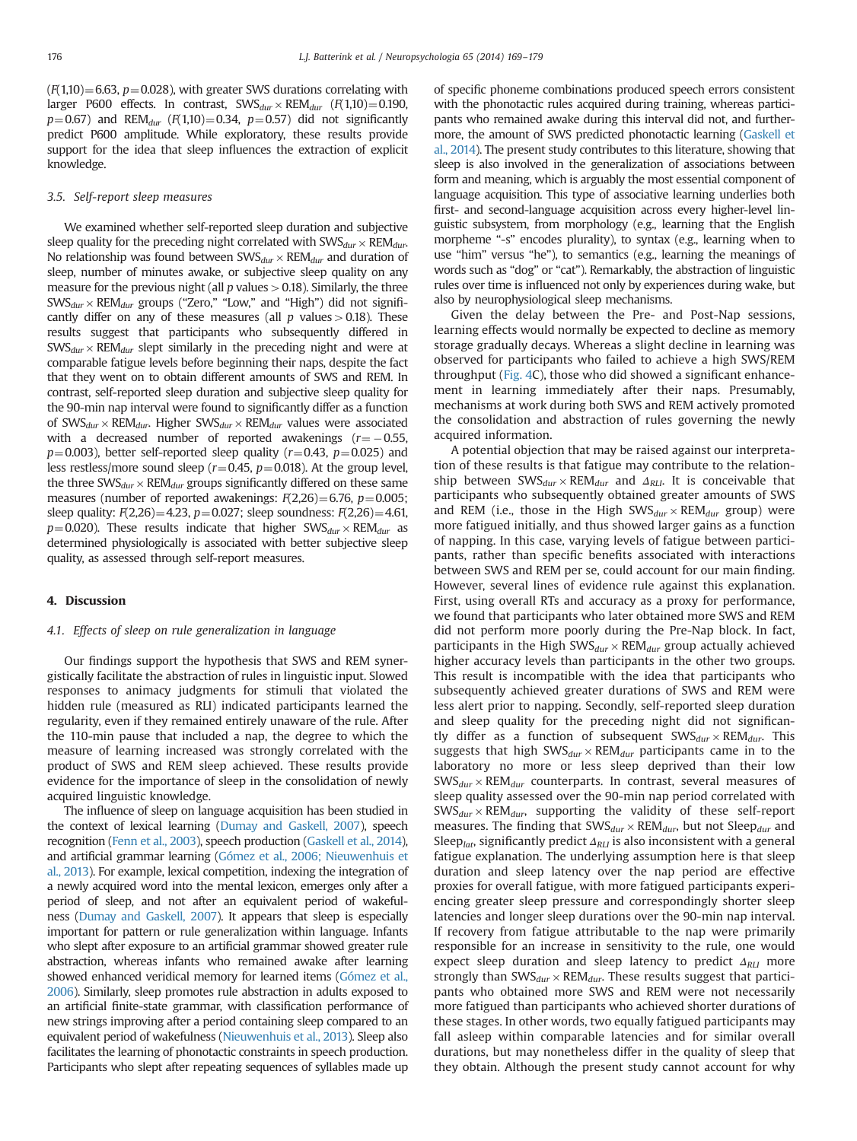$(F(1,10)=6.63, p=0.028)$ , with greater SWS durations correlating with larger P600 effects. In contrast,  $\text{SWS}_{dur} \times \text{REM}_{dur}$  ( $F(1,10) = 0.190$ ,  $p=0.67$ ) and REM<sub>dur</sub> (F(1,10)=0.34, p=0.57) did not significantly predict P600 amplitude. While exploratory, these results provide support for the idea that sleep influences the extraction of explicit knowledge.

## 3.5. Self-report sleep measures

We examined whether self-reported sleep duration and subjective sleep quality for the preceding night correlated with  $\text{SWS}_{dur} \times \text{REM}_{dur}$ . No relationship was found between  $\text{SWS}_{dur} \times \text{REM}_{dur}$  and duration of sleep, number of minutes awake, or subjective sleep quality on any measure for the previous night (all  $p$  values  $> 0.18$ ). Similarly, the three  $\text{SWS}_{dur} \times \text{REM}_{dur}$  groups ("Zero," "Low," and "High") did not significantly differ on any of these measures (all  $p$  values  $> 0.18$ ). These results suggest that participants who subsequently differed in  $\text{SWS}_{dur} \times \text{REM}_{dur}$  slept similarly in the preceding night and were at comparable fatigue levels before beginning their naps, despite the fact that they went on to obtain different amounts of SWS and REM. In contrast, self-reported sleep duration and subjective sleep quality for the 90-min nap interval were found to significantly differ as a function of SWS $_{dur}$  × REM $_{dur}$ . Higher SWS $_{dur}$  × REM $_{dur}$  values were associated with a decreased number of reported awakenings  $(r = -0.55,$  $p=0.003$ ), better self-reported sleep quality ( $r=0.43$ ,  $p=0.025$ ) and less restless/more sound sleep ( $r=0.45$ ,  $p=0.018$ ). At the group level, the three  $SWS_{dur} \times REM_{dur}$  groups significantly differed on these same measures (number of reported awakenings:  $F(2,26) = 6.76$ ,  $p = 0.005$ ; sleep quality:  $F(2,26) = 4.23$ ,  $p = 0.027$ ; sleep soundness:  $F(2,26) = 4.61$ ,  $p=0.020$ ). These results indicate that higher SWS $_{dur} \times$ REM $_{dur}$  as determined physiologically is associated with better subjective sleep quality, as assessed through self-report measures.

# 4. Discussion

# 4.1. Effects of sleep on rule generalization in language

Our findings support the hypothesis that SWS and REM synergistically facilitate the abstraction of rules in linguistic input. Slowed responses to animacy judgments for stimuli that violated the hidden rule (measured as RLI) indicated participants learned the regularity, even if they remained entirely unaware of the rule. After the 110-min pause that included a nap, the degree to which the measure of learning increased was strongly correlated with the product of SWS and REM sleep achieved. These results provide evidence for the importance of sleep in the consolidation of newly acquired linguistic knowledge.

The influence of sleep on language acquisition has been studied in the context of lexical learning [\(Dumay and Gaskell, 2007](#page-9-0)), speech recognition [\(Fenn et al., 2003](#page-9-0)), speech production ([Gaskell et al., 2014](#page-9-0)), and artificial grammar learning [\(Gómez et al., 2006; Nieuwenhuis et](#page-9-0) [al., 2013\)](#page-9-0). For example, lexical competition, indexing the integration of a newly acquired word into the mental lexicon, emerges only after a period of sleep, and not after an equivalent period of wakefulness [\(Dumay and Gaskell, 2007\)](#page-9-0). It appears that sleep is especially important for pattern or rule generalization within language. Infants who slept after exposure to an artificial grammar showed greater rule abstraction, whereas infants who remained awake after learning showed enhanced veridical memory for learned items [\(Gómez et al.,](#page-9-0) [2006](#page-9-0)). Similarly, sleep promotes rule abstraction in adults exposed to an artificial finite-state grammar, with classification performance of new strings improving after a period containing sleep compared to an equivalent period of wakefulness [\(Nieuwenhuis et al., 2013\)](#page-9-0). Sleep also facilitates the learning of phonotactic constraints in speech production. Participants who slept after repeating sequences of syllables made up

of specific phoneme combinations produced speech errors consistent with the phonotactic rules acquired during training, whereas participants who remained awake during this interval did not, and furthermore, the amount of SWS predicted phonotactic learning [\(Gaskell et](#page-9-0) [al., 2014](#page-9-0)). The present study contributes to this literature, showing that sleep is also involved in the generalization of associations between form and meaning, which is arguably the most essential component of language acquisition. This type of associative learning underlies both first- and second-language acquisition across every higher-level linguistic subsystem, from morphology (e.g., learning that the English morpheme "-s" encodes plurality), to syntax (e.g., learning when to use "him" versus "he"), to semantics (e.g., learning the meanings of words such as "dog" or "cat"). Remarkably, the abstraction of linguistic rules over time is influenced not only by experiences during wake, but also by neurophysiological sleep mechanisms.

Given the delay between the Pre- and Post-Nap sessions, learning effects would normally be expected to decline as memory storage gradually decays. Whereas a slight decline in learning was observed for participants who failed to achieve a high SWS/REM throughput [\(Fig. 4](#page-6-0)C), those who did showed a significant enhancement in learning immediately after their naps. Presumably, mechanisms at work during both SWS and REM actively promoted the consolidation and abstraction of rules governing the newly acquired information.

A potential objection that may be raised against our interpretation of these results is that fatigue may contribute to the relationship between  $\text{SWS}_{dur} \times \text{REM}_{dur}$  and  $\Delta_{\text{RLI}}$ . It is conceivable that participants who subsequently obtained greater amounts of SWS and REM (i.e., those in the High  $SWS_{dur} \times REM_{dur}$  group) were more fatigued initially, and thus showed larger gains as a function of napping. In this case, varying levels of fatigue between participants, rather than specific benefits associated with interactions between SWS and REM per se, could account for our main finding. However, several lines of evidence rule against this explanation. First, using overall RTs and accuracy as a proxy for performance, we found that participants who later obtained more SWS and REM did not perform more poorly during the Pre-Nap block. In fact, participants in the High  $\text{SWS}_{dur} \times \text{REM}_{dur}$  group actually achieved higher accuracy levels than participants in the other two groups. This result is incompatible with the idea that participants who subsequently achieved greater durations of SWS and REM were less alert prior to napping. Secondly, self-reported sleep duration and sleep quality for the preceding night did not significantly differ as a function of subsequent  $\text{SWS}_{dur} \times \text{REM}_{dur}$ . This suggests that high  $SWS_{dur} \times REM_{dur}$  participants came in to the laboratory no more or less sleep deprived than their low  $\text{SWS}_{dur} \times \text{REM}_{dur}$  counterparts. In contrast, several measures of sleep quality assessed over the 90-min nap period correlated with  $\text{SWS}_{dur} \times \text{REM}_{dur}$ , supporting the validity of these self-report measures. The finding that  $SWS_{dur} \times REM_{dur}$ , but not Sleep $_{dur}$  and Sleep<sub>lat</sub>, significantly predict  $\Delta_{RLI}$  is also inconsistent with a general fatigue explanation. The underlying assumption here is that sleep duration and sleep latency over the nap period are effective proxies for overall fatigue, with more fatigued participants experiencing greater sleep pressure and correspondingly shorter sleep latencies and longer sleep durations over the 90-min nap interval. If recovery from fatigue attributable to the nap were primarily responsible for an increase in sensitivity to the rule, one would expect sleep duration and sleep latency to predict  $\Delta_{RI}$  more strongly than  $\text{SWS}_{dur} \times \text{REM}_{dur}$ . These results suggest that participants who obtained more SWS and REM were not necessarily more fatigued than participants who achieved shorter durations of these stages. In other words, two equally fatigued participants may fall asleep within comparable latencies and for similar overall durations, but may nonetheless differ in the quality of sleep that they obtain. Although the present study cannot account for why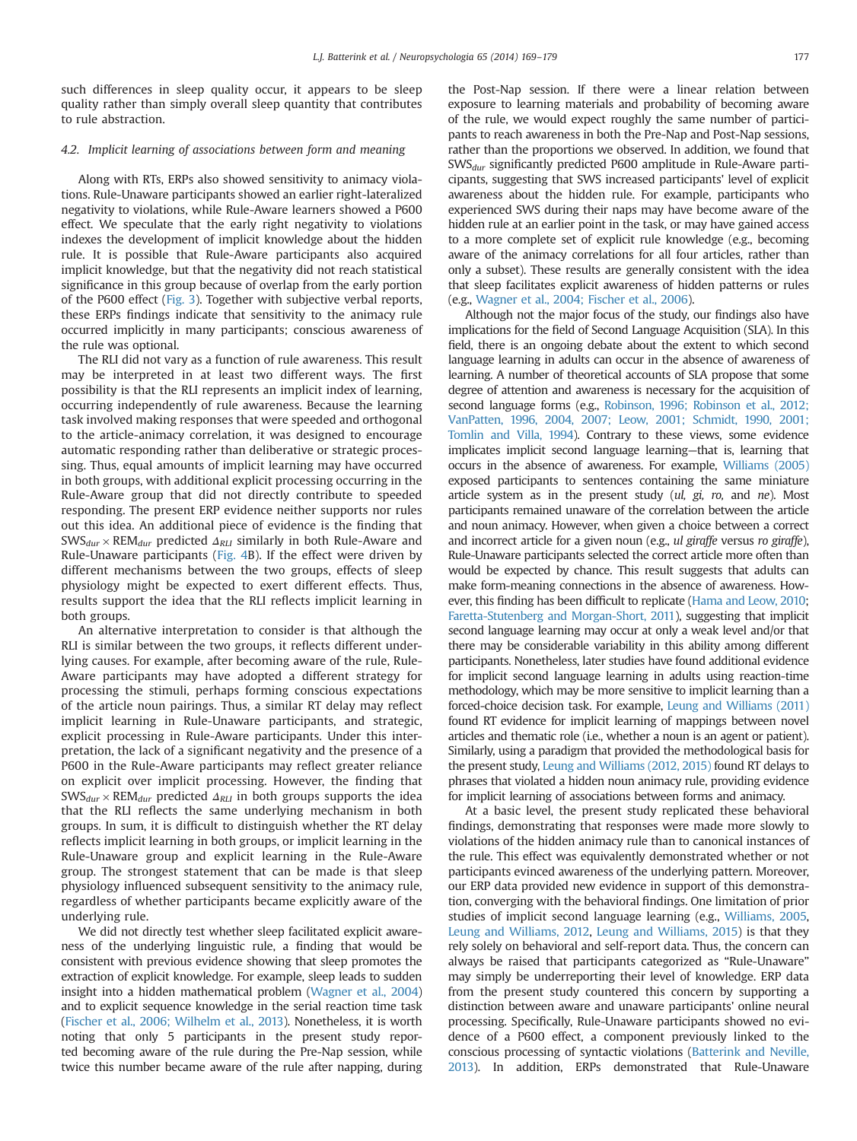such differences in sleep quality occur, it appears to be sleep quality rather than simply overall sleep quantity that contributes to rule abstraction.

# 4.2. Implicit learning of associations between form and meaning

Along with RTs, ERPs also showed sensitivity to animacy violations. Rule-Unaware participants showed an earlier right-lateralized negativity to violations, while Rule-Aware learners showed a P600 effect. We speculate that the early right negativity to violations indexes the development of implicit knowledge about the hidden rule. It is possible that Rule-Aware participants also acquired implicit knowledge, but that the negativity did not reach statistical significance in this group because of overlap from the early portion of the P600 effect ([Fig. 3\)](#page-5-0). Together with subjective verbal reports, these ERPs findings indicate that sensitivity to the animacy rule occurred implicitly in many participants; conscious awareness of the rule was optional.

The RLI did not vary as a function of rule awareness. This result may be interpreted in at least two different ways. The first possibility is that the RLI represents an implicit index of learning, occurring independently of rule awareness. Because the learning task involved making responses that were speeded and orthogonal to the article-animacy correlation, it was designed to encourage automatic responding rather than deliberative or strategic processing. Thus, equal amounts of implicit learning may have occurred in both groups, with additional explicit processing occurring in the Rule-Aware group that did not directly contribute to speeded responding. The present ERP evidence neither supports nor rules out this idea. An additional piece of evidence is the finding that  $\text{SWS}_{dur} \times \text{REM}_{dur}$  predicted  $\Delta_{RI}$  similarly in both Rule-Aware and Rule-Unaware participants [\(Fig. 4](#page-6-0)B). If the effect were driven by different mechanisms between the two groups, effects of sleep physiology might be expected to exert different effects. Thus, results support the idea that the RLI reflects implicit learning in both groups.

An alternative interpretation to consider is that although the RLI is similar between the two groups, it reflects different underlying causes. For example, after becoming aware of the rule, Rule-Aware participants may have adopted a different strategy for processing the stimuli, perhaps forming conscious expectations of the article noun pairings. Thus, a similar RT delay may reflect implicit learning in Rule-Unaware participants, and strategic, explicit processing in Rule-Aware participants. Under this interpretation, the lack of a significant negativity and the presence of a P600 in the Rule-Aware participants may reflect greater reliance on explicit over implicit processing. However, the finding that  $\text{SWS}_{dur} \times \text{REM}_{dur}$  predicted  $\Delta_{\text{RLI}}$  in both groups supports the idea that the RLI reflects the same underlying mechanism in both groups. In sum, it is difficult to distinguish whether the RT delay reflects implicit learning in both groups, or implicit learning in the Rule-Unaware group and explicit learning in the Rule-Aware group. The strongest statement that can be made is that sleep physiology influenced subsequent sensitivity to the animacy rule, regardless of whether participants became explicitly aware of the underlying rule.

We did not directly test whether sleep facilitated explicit awareness of the underlying linguistic rule, a finding that would be consistent with previous evidence showing that sleep promotes the extraction of explicit knowledge. For example, sleep leads to sudden insight into a hidden mathematical problem [\(Wagner et al., 2004\)](#page-10-0) and to explicit sequence knowledge in the serial reaction time task [\(Fischer et al., 2006; Wilhelm et al., 2013](#page-10-0)). Nonetheless, it is worth noting that only 5 participants in the present study reported becoming aware of the rule during the Pre-Nap session, while twice this number became aware of the rule after napping, during the Post-Nap session. If there were a linear relation between exposure to learning materials and probability of becoming aware of the rule, we would expect roughly the same number of participants to reach awareness in both the Pre-Nap and Post-Nap sessions, rather than the proportions we observed. In addition, we found that  $SWS_{dur}$  significantly predicted P600 amplitude in Rule-Aware participants, suggesting that SWS increased participants' level of explicit awareness about the hidden rule. For example, participants who experienced SWS during their naps may have become aware of the hidden rule at an earlier point in the task, or may have gained access to a more complete set of explicit rule knowledge (e.g., becoming aware of the animacy correlations for all four articles, rather than only a subset). These results are generally consistent with the idea that sleep facilitates explicit awareness of hidden patterns or rules (e.g., [Wagner et al., 2004; Fischer et al., 2006](#page-9-0)).

Although not the major focus of the study, our findings also have implications for the field of Second Language Acquisition (SLA). In this field, there is an ongoing debate about the extent to which second language learning in adults can occur in the absence of awareness of learning. A number of theoretical accounts of SLA propose that some degree of attention and awareness is necessary for the acquisition of second language forms (e.g., [Robinson, 1996; Robinson et al., 2012;](#page-10-0) [VanPatten, 1996, 2004, 2007; Leow, 2001; Schmidt, 1990, 2001;](#page-10-0) [Tomlin and Villa, 1994](#page-10-0)). Contrary to these views, some evidence implicates implicit second language learning—that is, learning that occurs in the absence of awareness. For example, [Williams \(2005\)](#page-10-0) exposed participants to sentences containing the same miniature article system as in the present study (ul, gi, ro, and ne). Most participants remained unaware of the correlation between the article and noun animacy. However, when given a choice between a correct and incorrect article for a given noun (e.g., ul giraffe versus ro giraffe), Rule-Unaware participants selected the correct article more often than would be expected by chance. This result suggests that adults can make form-meaning connections in the absence of awareness. However, this finding has been difficult to replicate [\(Hama and Leow, 2010;](#page-9-0) [Faretta-Stutenberg and Morgan-Short, 2011](#page-9-0)), suggesting that implicit second language learning may occur at only a weak level and/or that there may be considerable variability in this ability among different participants. Nonetheless, later studies have found additional evidence for implicit second language learning in adults using reaction-time methodology, which may be more sensitive to implicit learning than a forced-choice decision task. For example, [Leung and Williams \(2011\)](#page-9-0) found RT evidence for implicit learning of mappings between novel articles and thematic role (i.e., whether a noun is an agent or patient). Similarly, using a paradigm that provided the methodological basis for the present study, [Leung and Williams \(2012, 2015\)](#page-9-0) found RT delays to phrases that violated a hidden noun animacy rule, providing evidence for implicit learning of associations between forms and animacy.

At a basic level, the present study replicated these behavioral findings, demonstrating that responses were made more slowly to violations of the hidden animacy rule than to canonical instances of the rule. This effect was equivalently demonstrated whether or not participants evinced awareness of the underlying pattern. Moreover, our ERP data provided new evidence in support of this demonstration, converging with the behavioral findings. One limitation of prior studies of implicit second language learning (e.g., [Williams, 2005,](#page-10-0) [Leung and Williams, 2012,](#page-9-0) [Leung and Williams, 2015\)](#page-9-0) is that they rely solely on behavioral and self-report data. Thus, the concern can always be raised that participants categorized as "Rule-Unaware" may simply be underreporting their level of knowledge. ERP data from the present study countered this concern by supporting a distinction between aware and unaware participants' online neural processing. Specifically, Rule-Unaware participants showed no evidence of a P600 effect, a component previously linked to the conscious processing of syntactic violations [\(Batterink and Neville,](#page-9-0) [2013](#page-9-0)). In addition, ERPs demonstrated that Rule-Unaware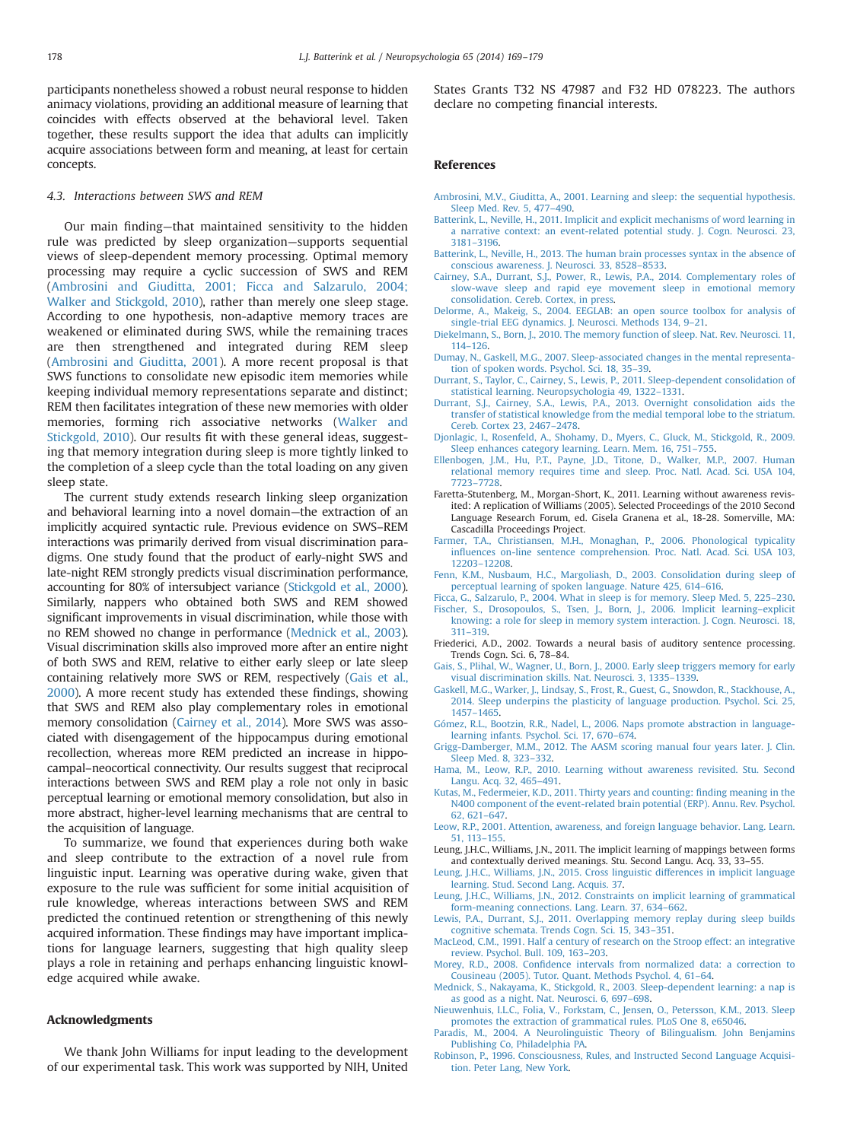<span id="page-9-0"></span>participants nonetheless showed a robust neural response to hidden animacy violations, providing an additional measure of learning that coincides with effects observed at the behavioral level. Taken together, these results support the idea that adults can implicitly acquire associations between form and meaning, at least for certain concepts.

## 4.3. Interactions between SWS and REM

Our main finding—that maintained sensitivity to the hidden rule was predicted by sleep organization—supports sequential views of sleep-dependent memory processing. Optimal memory processing may require a cyclic succession of SWS and REM (Ambrosini and Giuditta, 2001; Ficca and Salzarulo, 2004; [Walker and Stickgold, 2010\)](#page-10-0), rather than merely one sleep stage. According to one hypothesis, non-adaptive memory traces are weakened or eliminated during SWS, while the remaining traces are then strengthened and integrated during REM sleep (Ambrosini and Giuditta, 2001). A more recent proposal is that SWS functions to consolidate new episodic item memories while keeping individual memory representations separate and distinct; REM then facilitates integration of these new memories with older memories, forming rich associative networks ([Walker and](#page-10-0) [Stickgold, 2010\)](#page-10-0). Our results fit with these general ideas, suggesting that memory integration during sleep is more tightly linked to the completion of a sleep cycle than the total loading on any given sleep state.

The current study extends research linking sleep organization and behavioral learning into a novel domain—the extraction of an implicitly acquired syntactic rule. Previous evidence on SWS–REM interactions was primarily derived from visual discrimination paradigms. One study found that the product of early-night SWS and late-night REM strongly predicts visual discrimination performance, accounting for 80% of intersubject variance [\(Stickgold et al., 2000\)](#page-10-0). Similarly, nappers who obtained both SWS and REM showed significant improvements in visual discrimination, while those with no REM showed no change in performance (Mednick et al., 2003). Visual discrimination skills also improved more after an entire night of both SWS and REM, relative to either early sleep or late sleep containing relatively more SWS or REM, respectively (Gais et al., 2000). A more recent study has extended these findings, showing that SWS and REM also play complementary roles in emotional memory consolidation (Cairney et al., 2014). More SWS was associated with disengagement of the hippocampus during emotional recollection, whereas more REM predicted an increase in hippocampal–neocortical connectivity. Our results suggest that reciprocal interactions between SWS and REM play a role not only in basic perceptual learning or emotional memory consolidation, but also in more abstract, higher-level learning mechanisms that are central to the acquisition of language.

To summarize, we found that experiences during both wake and sleep contribute to the extraction of a novel rule from linguistic input. Learning was operative during wake, given that exposure to the rule was sufficient for some initial acquisition of rule knowledge, whereas interactions between SWS and REM predicted the continued retention or strengthening of this newly acquired information. These findings may have important implications for language learners, suggesting that high quality sleep plays a role in retaining and perhaps enhancing linguistic knowledge acquired while awake.

# Acknowledgments

We thank John Williams for input leading to the development of our experimental task. This work was supported by NIH, United

States Grants T32 NS 47987 and F32 HD 078223. The authors declare no competing financial interests.

## References

- [Ambrosini, M.V., Giuditta, A., 2001. Learning and sleep: the sequential hypothesis.](http://refhub.elsevier.com/S0028-3932(14)00384-4/sbref1) [Sleep Med. Rev. 5, 477](http://refhub.elsevier.com/S0028-3932(14)00384-4/sbref1)–490.
- [Batterink, L., Neville, H., 2011. Implicit and explicit mechanisms of word learning in](http://refhub.elsevier.com/S0028-3932(14)00384-4/sbref2) [a narrative context: an event-related potential study. J. Cogn. Neurosci. 23,](http://refhub.elsevier.com/S0028-3932(14)00384-4/sbref2) 3181–[3196.](http://refhub.elsevier.com/S0028-3932(14)00384-4/sbref2)
- [Batterink, L., Neville, H., 2013. The human brain processes syntax in the absence of](http://refhub.elsevier.com/S0028-3932(14)00384-4/sbref3) [conscious awareness. J. Neurosci. 33, 8528](http://refhub.elsevier.com/S0028-3932(14)00384-4/sbref3)–8533.
- [Cairney, S.A., Durrant, S.J., Power, R., Lewis, P.A., 2014. Complementary roles of](http://refhub.elsevier.com/S0028-3932(14)00384-4/sbref4) [slow-wave sleep and rapid eye movement sleep in emotional memory](http://refhub.elsevier.com/S0028-3932(14)00384-4/sbref4) [consolidation. Cereb. Cortex, in press.](http://refhub.elsevier.com/S0028-3932(14)00384-4/sbref4)
- [Delorme, A., Makeig, S., 2004. EEGLAB: an open source toolbox for analysis of](http://refhub.elsevier.com/S0028-3932(14)00384-4/sbref5) [single-trial EEG dynamics. J. Neurosci. Methods 134, 9](http://refhub.elsevier.com/S0028-3932(14)00384-4/sbref5)–21.
- [Diekelmann, S., Born, J., 2010. The memory function of sleep. Nat. Rev. Neurosci. 11,](http://refhub.elsevier.com/S0028-3932(14)00384-4/sbref6) 114–[126.](http://refhub.elsevier.com/S0028-3932(14)00384-4/sbref6)
- [Dumay, N., Gaskell, M.G., 2007. Sleep-associated changes in the mental representa](http://refhub.elsevier.com/S0028-3932(14)00384-4/sbref7)[tion of spoken words. Psychol. Sci. 18, 35](http://refhub.elsevier.com/S0028-3932(14)00384-4/sbref7)–39.
- [Durrant, S., Taylor, C., Cairney, S., Lewis, P., 2011. Sleep-dependent consolidation of](http://refhub.elsevier.com/S0028-3932(14)00384-4/sbref8) [statistical learning. Neuropsychologia 49, 1322](http://refhub.elsevier.com/S0028-3932(14)00384-4/sbref8)–1331.
- [Durrant, S.J., Cairney, S.A., Lewis, P.A., 2013. Overnight consolidation aids the](http://refhub.elsevier.com/S0028-3932(14)00384-4/sbref9) [transfer of statistical knowledge from the medial temporal lobe to the striatum.](http://refhub.elsevier.com/S0028-3932(14)00384-4/sbref9) [Cereb. Cortex 23, 2467](http://refhub.elsevier.com/S0028-3932(14)00384-4/sbref9)–2478.
- [Djonlagic, I., Rosenfeld, A., Shohamy, D., Myers, C., Gluck, M., Stickgold, R., 2009.](http://refhub.elsevier.com/S0028-3932(14)00384-4/sbref10) [Sleep enhances category learning. Learn. Mem. 16, 751](http://refhub.elsevier.com/S0028-3932(14)00384-4/sbref10)–755.
- [Ellenbogen, J.M., Hu, P.T., Payne, J.D., Titone, D., Walker, M.P., 2007. Human](http://refhub.elsevier.com/S0028-3932(14)00384-4/sbref11) [relational memory requires time and sleep. Proc. Natl. Acad. Sci. USA 104,](http://refhub.elsevier.com/S0028-3932(14)00384-4/sbref11) 7723–[7728.](http://refhub.elsevier.com/S0028-3932(14)00384-4/sbref11)
- Faretta-Stutenberg, M., Morgan-Short, K., 2011. Learning without awareness revisited: A replication of Williams (2005). Selected Proceedings of the 2010 Second Language Research Forum, ed. Gisela Granena et al., 18-28. Somerville, MA: Cascadilla Proceedings Project.
- [Farmer, T.A., Christiansen, M.H., Monaghan, P., 2006. Phonological typicality](http://refhub.elsevier.com/S0028-3932(14)00384-4/sbref12) infl[uences on-line sentence comprehension. Proc. Natl. Acad. Sci. USA 103,](http://refhub.elsevier.com/S0028-3932(14)00384-4/sbref12) 12203–[12208.](http://refhub.elsevier.com/S0028-3932(14)00384-4/sbref12)
- [Fenn, K.M., Nusbaum, H.C., Margoliash, D., 2003. Consolidation during sleep of](http://refhub.elsevier.com/S0028-3932(14)00384-4/sbref13) [perceptual learning of spoken language. Nature 425, 614](http://refhub.elsevier.com/S0028-3932(14)00384-4/sbref13)–616.
- [Ficca, G., Salzarulo, P., 2004. What in sleep is for memory. Sleep Med. 5, 225](http://refhub.elsevier.com/S0028-3932(14)00384-4/sbref14)–230.
- [Fischer, S., Drosopoulos, S., Tsen, J., Born, J., 2006. Implicit learning](http://refhub.elsevier.com/S0028-3932(14)00384-4/sbref15)–explicit [knowing: a role for sleep in memory system interaction. J. Cogn. Neurosci. 18,](http://refhub.elsevier.com/S0028-3932(14)00384-4/sbref15) 311–[319.](http://refhub.elsevier.com/S0028-3932(14)00384-4/sbref15)
- Friederici, A.D., 2002. Towards a neural basis of auditory sentence processing. Trends Cogn. Sci. 6, 78–84.
- [Gais, S., Plihal, W., Wagner, U., Born, J., 2000. Early sleep triggers memory for early](http://refhub.elsevier.com/S0028-3932(14)00384-4/sbref16) [visual discrimination skills. Nat. Neurosci. 3, 1335](http://refhub.elsevier.com/S0028-3932(14)00384-4/sbref16)–1339.
- [Gaskell, M.G., Warker, J., Lindsay, S., Frost, R., Guest, G., Snowdon, R., Stackhouse, A.,](http://refhub.elsevier.com/S0028-3932(14)00384-4/sbref17) [2014. Sleep underpins the plasticity of language production. Psychol. Sci. 25,](http://refhub.elsevier.com/S0028-3932(14)00384-4/sbref17) 1457–[1465.](http://refhub.elsevier.com/S0028-3932(14)00384-4/sbref17)
- [Gómez, R.L., Bootzin, R.R., Nadel, L., 2006. Naps promote abstraction in language](http://refhub.elsevier.com/S0028-3932(14)00384-4/sbref18)[learning infants. Psychol. Sci. 17, 670](http://refhub.elsevier.com/S0028-3932(14)00384-4/sbref18)–674.
- [Grigg-Damberger, M.M., 2012. The AASM scoring manual four years later. J. Clin.](http://refhub.elsevier.com/S0028-3932(14)00384-4/sbref19) [Sleep Med. 8, 323](http://refhub.elsevier.com/S0028-3932(14)00384-4/sbref19)–332.
- [Hama, M., Leow, R.P., 2010. Learning without awareness revisited. Stu. Second](http://refhub.elsevier.com/S0028-3932(14)00384-4/sbref412) [Langu. Acq. 32, 465](http://refhub.elsevier.com/S0028-3932(14)00384-4/sbref412)–491.
- [Kutas, M., Federmeier, K.D., 2011. Thirty years and counting:](http://refhub.elsevier.com/S0028-3932(14)00384-4/sbref20) finding meaning in the [N400 component of the event-related brain potential \(ERP\). Annu. Rev. Psychol.](http://refhub.elsevier.com/S0028-3932(14)00384-4/sbref20) [62, 621](http://refhub.elsevier.com/S0028-3932(14)00384-4/sbref20)–647.
- [Leow, R.P., 2001. Attention, awareness, and foreign language behavior. Lang. Learn.](http://refhub.elsevier.com/S0028-3932(14)00384-4/sbref21) [51, 113](http://refhub.elsevier.com/S0028-3932(14)00384-4/sbref21)–155.
- Leung, J.H.C., Williams, J.N., 2011. The implicit learning of mappings between forms and contextually derived meanings. Stu. Second Langu. Acq. 33, 33–55.
- [Leung, J.H.C., Williams, J.N., 2015. Cross linguistic differences in implicit language](http://refhub.elsevier.com/S0028-3932(14)00384-4/sbref22) [learning. Stud. Second Lang. Acquis. 37.](http://refhub.elsevier.com/S0028-3932(14)00384-4/sbref22)
- [Leung, J.H.C., Williams, J.N., 2012. Constraints on implicit learning of grammatical](http://refhub.elsevier.com/S0028-3932(14)00384-4/sbref23) [form-meaning connections. Lang. Learn. 37, 634](http://refhub.elsevier.com/S0028-3932(14)00384-4/sbref23)–662.
- [Lewis, P.A., Durrant, S.J., 2011. Overlapping memory replay during sleep builds](http://refhub.elsevier.com/S0028-3932(14)00384-4/sbref24) [cognitive schemata. Trends Cogn. Sci. 15, 343](http://refhub.elsevier.com/S0028-3932(14)00384-4/sbref24)–351.
- [MacLeod, C.M., 1991. Half a century of research on the Stroop effect: an integrative](http://refhub.elsevier.com/S0028-3932(14)00384-4/sbref25) [review. Psychol. Bull. 109, 163](http://refhub.elsevier.com/S0028-3932(14)00384-4/sbref25)–203.
- Morey, R.D., 2008. Confi[dence intervals from normalized data: a correction to](http://refhub.elsevier.com/S0028-3932(14)00384-4/sbref26) [Cousineau \(2005\). Tutor. Quant. Methods Psychol. 4, 61](http://refhub.elsevier.com/S0028-3932(14)00384-4/sbref26)–64.
- [Mednick, S., Nakayama, K., Stickgold, R., 2003. Sleep-dependent learning: a nap is](http://refhub.elsevier.com/S0028-3932(14)00384-4/sbref27) [as good as a night. Nat. Neurosci. 6, 697](http://refhub.elsevier.com/S0028-3932(14)00384-4/sbref27)–698.
- [Nieuwenhuis, I.L.C., Folia, V., Forkstam, C., Jensen, O., Petersson, K.M., 2013. Sleep](http://refhub.elsevier.com/S0028-3932(14)00384-4/sbref28) [promotes the extraction of grammatical rules. PLoS One 8, e65046.](http://refhub.elsevier.com/S0028-3932(14)00384-4/sbref28)
- [Paradis, M., 2004. A Neurolinguistic Theory of Bilingualism. John Benjamins](http://refhub.elsevier.com/S0028-3932(14)00384-4/sbref29) [Publishing Co, Philadelphia PA.](http://refhub.elsevier.com/S0028-3932(14)00384-4/sbref29)
- [Robinson, P., 1996. Consciousness, Rules, and Instructed Second Language Acquisi](http://refhub.elsevier.com/S0028-3932(14)00384-4/sbref31)[tion. Peter Lang, New York.](http://refhub.elsevier.com/S0028-3932(14)00384-4/sbref31)